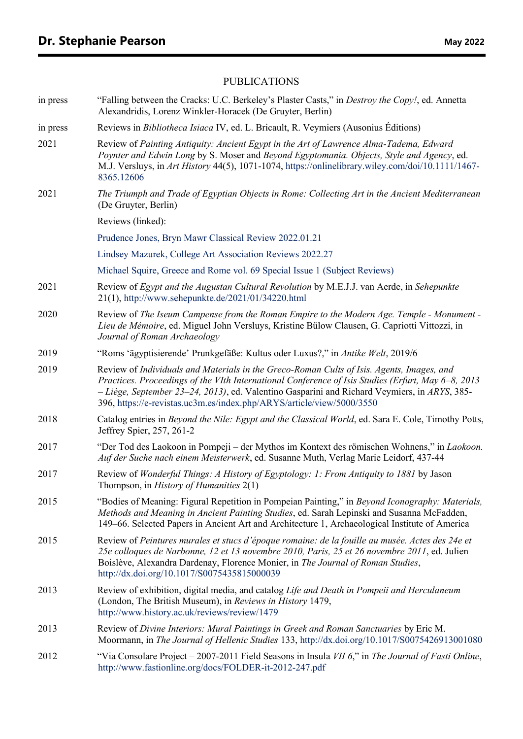## PUBLICATIONS

| in press | "Falling between the Cracks: U.C. Berkeley's Plaster Casts," in <i>Destroy the Copy!</i> , ed. Annetta<br>Alexandridis, Lorenz Winkler-Horacek (De Gruyter, Berlin)                                                                                                                                                                                                          |
|----------|------------------------------------------------------------------------------------------------------------------------------------------------------------------------------------------------------------------------------------------------------------------------------------------------------------------------------------------------------------------------------|
| in press | Reviews in <i>Bibliotheca Isiaca IV</i> , ed. L. Bricault, R. Veymiers (Ausonius Éditions)                                                                                                                                                                                                                                                                                   |
| 2021     | Review of Painting Antiquity: Ancient Egypt in the Art of Lawrence Alma-Tadema, Edward<br>Poynter and Edwin Long by S. Moser and Beyond Egyptomania. Objects, Style and Agency, ed.<br>M.J. Versluys, in Art History 44(5), 1071-1074, https://onlinelibrary.wiley.com/doi/10.1111/1467-<br>8365.12606                                                                       |
| 2021     | The Triumph and Trade of Egyptian Objects in Rome: Collecting Art in the Ancient Mediterranean<br>(De Gruyter, Berlin)                                                                                                                                                                                                                                                       |
|          | Reviews (linked):                                                                                                                                                                                                                                                                                                                                                            |
|          | Prudence Jones, Bryn Mawr Classical Review 2022.01.21                                                                                                                                                                                                                                                                                                                        |
|          | Lindsey Mazurek, College Art Association Reviews 2022.27                                                                                                                                                                                                                                                                                                                     |
|          | Michael Squire, Greece and Rome vol. 69 Special Issue 1 (Subject Reviews)                                                                                                                                                                                                                                                                                                    |
| 2021     | Review of Egypt and the Augustan Cultural Revolution by M.E.J.J. van Aerde, in Sehepunkte<br>21(1), http://www.sehepunkte.de/2021/01/34220.html                                                                                                                                                                                                                              |
| 2020     | Review of The Iseum Campense from the Roman Empire to the Modern Age. Temple - Monument -<br>Lieu de Mémoire, ed. Miguel John Versluys, Kristine Bülow Clausen, G. Capriotti Vittozzi, in<br>Journal of Roman Archaeology                                                                                                                                                    |
| 2019     | "Roms 'ägyptisierende' Prunkgefäße: Kultus oder Luxus?," in Antike Welt, 2019/6                                                                                                                                                                                                                                                                                              |
| 2019     | Review of Individuals and Materials in the Greco-Roman Cults of Isis. Agents, Images, and<br>Practices. Proceedings of the VIth International Conference of Isis Studies (Erfurt, May 6-8, 2013<br>$-Li\$ {ge}, September 23–24, 2013), ed. Valentino Gasparini and Richard Veymiers, in ARYS, 385–<br>396, https://e-revistas.uc3m.es/index.php/ARYS/article/view/5000/3550 |
| 2018     | Catalog entries in Beyond the Nile: Egypt and the Classical World, ed. Sara E. Cole, Timothy Potts,<br>Jeffrey Spier, 257, 261-2                                                                                                                                                                                                                                             |
| 2017     | "Der Tod des Laokoon in Pompeji – der Mythos im Kontext des römischen Wohnens," in Laokoon.<br>Auf der Suche nach einem Meisterwerk, ed. Susanne Muth, Verlag Marie Leidorf, 437-44                                                                                                                                                                                          |
| 2017     | Review of Wonderful Things: A History of Egyptology: 1: From Antiquity to 1881 by Jason<br>Thompson, in <i>History of Humanities</i> 2(1)                                                                                                                                                                                                                                    |
| 2015     | "Bodies of Meaning: Figural Repetition in Pompeian Painting," in Beyond Iconography: Materials,<br>Methods and Meaning in Ancient Painting Studies, ed. Sarah Lepinski and Susanna McFadden,<br>149–66. Selected Papers in Ancient Art and Architecture 1, Archaeological Institute of America                                                                               |
| 2015     | Review of Peintures murales et stucs d'époque romaine: de la fouille au musée. Actes des 24e et<br>25e colloques de Narbonne, 12 et 13 novembre 2010, Paris, 25 et 26 novembre 2011, ed. Julien<br>Boislève, Alexandra Dardenay, Florence Monier, in The Journal of Roman Studies,<br>http://dx.doi.org/10.1017/S0075435815000039                                            |
| 2013     | Review of exhibition, digital media, and catalog Life and Death in Pompeii and Herculaneum<br>(London, The British Museum), in Reviews in History 1479,<br>http://www.history.ac.uk/reviews/review/1479                                                                                                                                                                      |
| 2013     | Review of Divine Interiors: Mural Paintings in Greek and Roman Sanctuaries by Eric M.<br>Moormann, in The Journal of Hellenic Studies 133, http://dx.doi.org/10.1017/S0075426913001080                                                                                                                                                                                       |
| 2012     | "Via Consolare Project – 2007-2011 Field Seasons in Insula VII 6," in The Journal of Fasti Online,<br>http://www.fastionline.org/docs/FOLDER-it-2012-247.pdf                                                                                                                                                                                                                 |